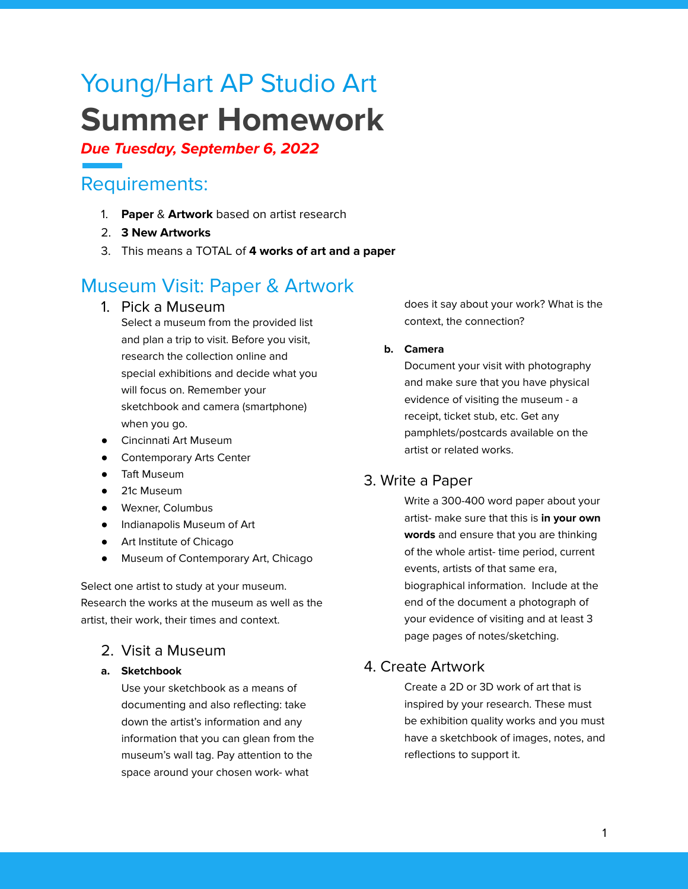# Young/Hart AP Studio Art **Summer Homework**

### **Due Tuesday, September 6, 2022**

# Requirements:

- 1. **Paper** & **Artwork** based on artist research
- 2. **3 New Artworks**
- 3. This means a TOTAL of **4 works of art and a paper**

# Museum Visit: Paper & Artwork

1. Pick a Museum

Select a museum from the provided list and plan a trip to visit. Before you visit, research the collection online and special exhibitions and decide what you will focus on. Remember your sketchbook and camera (smartphone) when you go.

- Cincinnati Art Museum
- Contemporary Arts Center
- Taft Museum
- 21c Museum
- Wexner, Columbus
- Indianapolis Museum of Art
- Art Institute of Chicago
- Museum of Contemporary Art, Chicago

Select one artist to study at your museum. Research the works at the museum as well as the artist, their work, their times and context.

## 2. Visit a Museum

#### **a. Sketchbook**

Use your sketchbook as a means of documenting and also reflecting: take down the artist's information and any information that you can glean from the museum's wall tag. Pay attention to the space around your chosen work- what

does it say about your work? What is the context, the connection?

#### **b. Camera**

Document your visit with photography and make sure that you have physical evidence of visiting the museum - a receipt, ticket stub, etc. Get any pamphlets/postcards available on the artist or related works.

### 3. Write a Paper

Write a 300-400 word paper about your artist- make sure that this is **in your own words** and ensure that you are thinking of the whole artist- time period, current events, artists of that same era, biographical information. Include at the end of the document a photograph of your evidence of visiting and at least 3 page pages of notes/sketching.

### 4. Create Artwork

Create a 2D or 3D work of art that is inspired by your research. These must be exhibition quality works and you must have a sketchbook of images, notes, and reflections to support it.